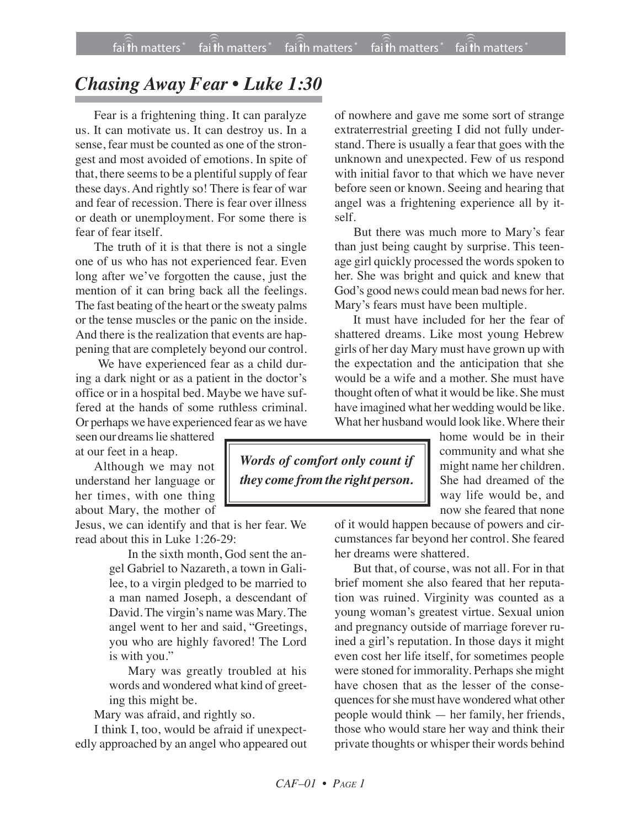## *Chasing Away Fear • Luke 1:30*

Fear is a frightening thing. It can paralyze us. It can motivate us. It can destroy us. In a sense, fear must be counted as one of the strongest and most avoided of emotions. In spite of that, there seems to be a plentiful supply of fear these days. And rightly so! There is fear of war and fear of recession. There is fear over illness or death or unemployment. For some there is fear of fear itself.

The truth of it is that there is not a single one of us who has not experienced fear. Even long after we've forgotten the cause, just the mention of it can bring back all the feelings. The fast beating of the heart or the sweaty palms or the tense muscles or the panic on the inside. And there is the realization that events are happening that are completely beyond our control.

We have experienced fear as a child during a dark night or as a patient in the doctor's office or in a hospital bed. Maybe we have suffered at the hands of some ruthless criminal. Or perhaps we have experienced fear as we have

seen our dreams lie shattered at our feet in a heap.

Although we may not understand her language or her times, with one thing about Mary, the mother of

Jesus, we can identify and that is her fear. We read about this in Luke 1:26-29:

> In the sixth month, God sent the angel Gabriel to Nazareth, a town in Galilee, to a virgin pledged to be married to a man named Joseph, a descendant of David. The virgin's name was Mary. The angel went to her and said, "Greetings, you who are highly favored! The Lord is with you."

> Mary was greatly troubled at his words and wondered what kind of greeting this might be.

Mary was afraid, and rightly so.

I think I, too, would be afraid if unexpectedly approached by an angel who appeared out

of nowhere and gave me some sort of strange extraterrestrial greeting I did not fully understand. There is usually a fear that goes with the unknown and unexpected. Few of us respond with initial favor to that which we have never before seen or known. Seeing and hearing that angel was a frightening experience all by itself.

But there was much more to Mary's fear than just being caught by surprise. This teenage girl quickly processed the words spoken to her. She was bright and quick and knew that God's good news could mean bad news for her. Mary's fears must have been multiple.

It must have included for her the fear of shattered dreams. Like most young Hebrew girls of her day Mary must have grown up with the expectation and the anticipation that she would be a wife and a mother. She must have thought often of what it would be like. She must have imagined what her wedding would be like. What her husband would look like. Where their

> home would be in their community and what she might name her children. She had dreamed of the way life would be, and now she feared that none

of it would happen because of powers and circumstances far beyond her control. She feared her dreams were shattered.

But that, of course, was not all. For in that brief moment she also feared that her reputation was ruined. Virginity was counted as a young woman's greatest virtue. Sexual union and pregnancy outside of marriage forever ruined a girl's reputation. In those days it might even cost her life itself, for sometimes people were stoned for immorality. Perhaps she might have chosen that as the lesser of the consequences for she must have wondered what other people would think — her family, her friends, those who would stare her way and think their private thoughts or whisper their words behind

*Words of comfort only count if they come from the right person.*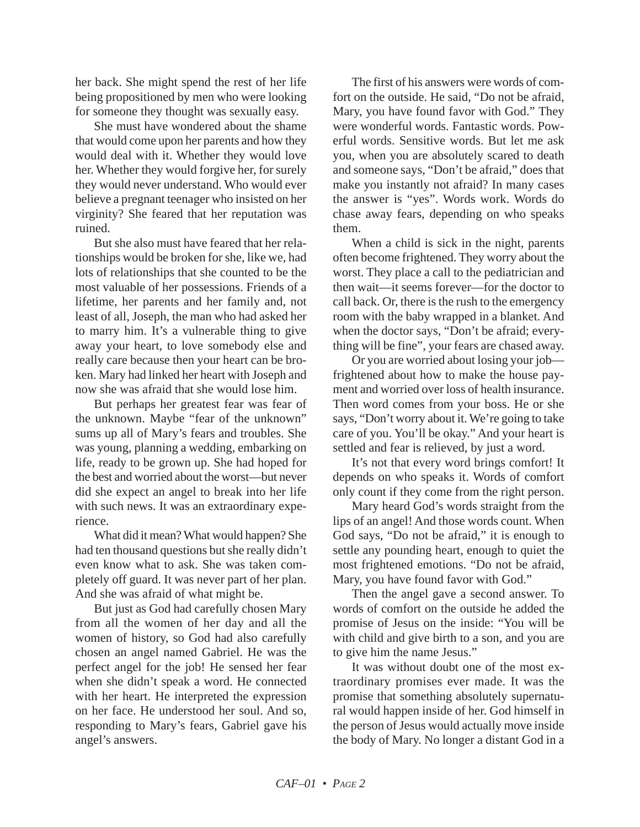her back. She might spend the rest of her life being propositioned by men who were looking for someone they thought was sexually easy.

She must have wondered about the shame that would come upon her parents and how they would deal with it. Whether they would love her. Whether they would forgive her, for surely they would never understand. Who would ever believe a pregnant teenager who insisted on her virginity? She feared that her reputation was ruined.

But she also must have feared that her relationships would be broken for she, like we, had lots of relationships that she counted to be the most valuable of her possessions. Friends of a lifetime, her parents and her family and, not least of all, Joseph, the man who had asked her to marry him. It's a vulnerable thing to give away your heart, to love somebody else and really care because then your heart can be broken. Mary had linked her heart with Joseph and now she was afraid that she would lose him.

But perhaps her greatest fear was fear of the unknown. Maybe "fear of the unknown" sums up all of Mary's fears and troubles. She was young, planning a wedding, embarking on life, ready to be grown up. She had hoped for the best and worried about the worst—but never did she expect an angel to break into her life with such news. It was an extraordinary experience.

What did it mean? What would happen? She had ten thousand questions but she really didn't even know what to ask. She was taken completely off guard. It was never part of her plan. And she was afraid of what might be.

But just as God had carefully chosen Mary from all the women of her day and all the women of history, so God had also carefully chosen an angel named Gabriel. He was the perfect angel for the job! He sensed her fear when she didn't speak a word. He connected with her heart. He interpreted the expression on her face. He understood her soul. And so, responding to Mary's fears, Gabriel gave his angel's answers.

The first of his answers were words of comfort on the outside. He said, "Do not be afraid, Mary, you have found favor with God." They were wonderful words. Fantastic words. Powerful words. Sensitive words. But let me ask you, when you are absolutely scared to death and someone says, "Don't be afraid," does that make you instantly not afraid? In many cases the answer is "yes". Words work. Words do chase away fears, depending on who speaks them.

When a child is sick in the night, parents often become frightened. They worry about the worst. They place a call to the pediatrician and then wait—it seems forever—for the doctor to call back. Or, there is the rush to the emergency room with the baby wrapped in a blanket. And when the doctor says, "Don't be afraid; everything will be fine", your fears are chased away.

Or you are worried about losing your job frightened about how to make the house payment and worried over loss of health insurance. Then word comes from your boss. He or she says, "Don't worry about it. We're going to take care of you. You'll be okay." And your heart is settled and fear is relieved, by just a word.

It's not that every word brings comfort! It depends on who speaks it. Words of comfort only count if they come from the right person.

Mary heard God's words straight from the lips of an angel! And those words count. When God says, "Do not be afraid," it is enough to settle any pounding heart, enough to quiet the most frightened emotions. "Do not be afraid, Mary, you have found favor with God."

Then the angel gave a second answer. To words of comfort on the outside he added the promise of Jesus on the inside: "You will be with child and give birth to a son, and you are to give him the name Jesus."

It was without doubt one of the most extraordinary promises ever made. It was the promise that something absolutely supernatural would happen inside of her. God himself in the person of Jesus would actually move inside the body of Mary. No longer a distant God in a